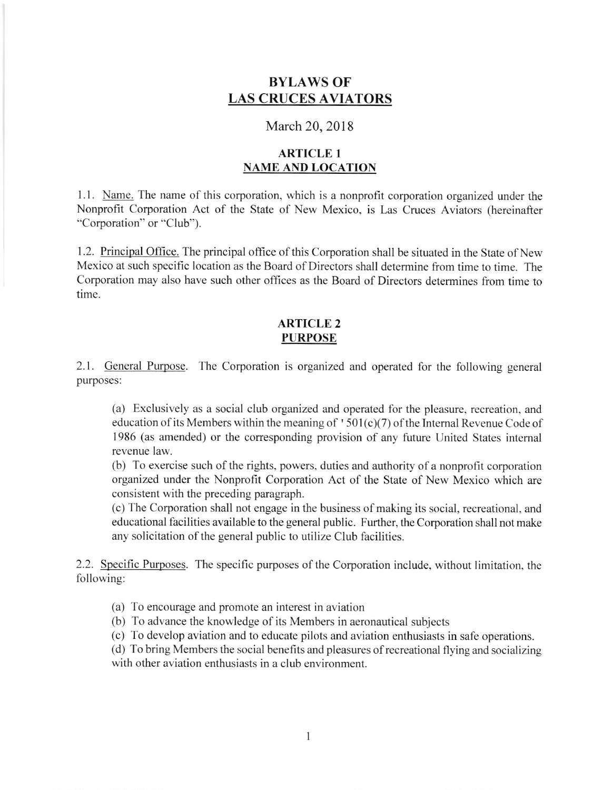# BYLAWS OF LAS CRUCES AVIATORS

# March 20, 2018

# ARTICLE I NAME AND LOCATION

<sup>I</sup>.l . Name. The name of this corporation, which is a nonprofit corporation organized under the Nonprofit Corporation Act of the State of New Mexico, is Las Cruces Aviators (hereinafter "Corporation" or "Club").

1.2. Principal Office. The principal office of this Corporation shall be situated in the State of New Mexico at such specific location as the Board of Directors shall determine from time to time. The Corporation may also have such other offices as the Board of Directors determines from time to time.

#### ARTICLE 2 PURPOSE

2.1. General Purpose. The Corporation is organized and operated for the following general purposes:

(a) Exclusively as a social club organized and operated for the pleasure, recreation, and education of its Members within the meaning of '501(c)(7) of the Internal Revenue Code of 1986 (as amended) or the corresponding provision of any luture United States intemal revenue law.

(b) To exercise such of the rights, powers, duties and authority of a nonprofit corporation organized under the Nonprofit Corporation Act of the State of New Mexico which are consistent with the preceding paragraph.

(c) The Corporation shall not engage in the business of making its social, recreational, and educational facilities available to the general public. Further, the Corporation shall not make any solicitation of the general public to utilize Club facilities.

2.2. Specific Purposes. The specific purposes of the Corporation include, without limitation, the following:

(a) To encourage and promote an interest in aviation

(b) To advance the knowledge of its Members in aeronautical subjects

(c) To develop aviation and to educate pilots and aviation enthusiasts in safe operations.

(d) To bring Members the social benefits and pleasures ofrecreational flying and socializing with other aviation enthusiasts in a club environment.